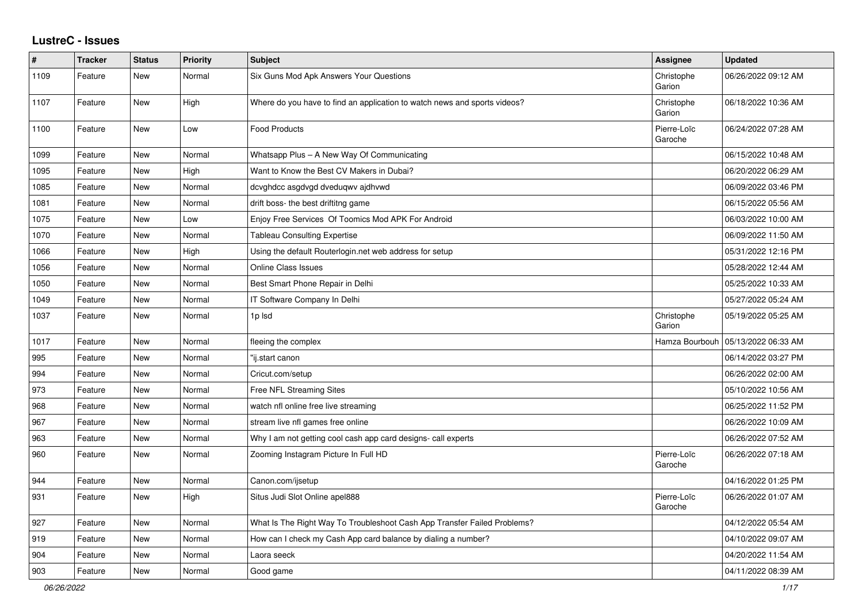## **LustreC - Issues**

| #    | <b>Tracker</b> | <b>Status</b> | <b>Priority</b> | <b>Subject</b>                                                            | Assignee               | <b>Updated</b>      |
|------|----------------|---------------|-----------------|---------------------------------------------------------------------------|------------------------|---------------------|
| 1109 | Feature        | New           | Normal          | Six Guns Mod Apk Answers Your Questions                                   | Christophe<br>Garion   | 06/26/2022 09:12 AM |
| 1107 | Feature        | <b>New</b>    | High            | Where do you have to find an application to watch news and sports videos? | Christophe<br>Garion   | 06/18/2022 10:36 AM |
| 1100 | Feature        | New           | Low             | <b>Food Products</b>                                                      | Pierre-Loïc<br>Garoche | 06/24/2022 07:28 AM |
| 1099 | Feature        | <b>New</b>    | Normal          | Whatsapp Plus - A New Way Of Communicating                                |                        | 06/15/2022 10:48 AM |
| 1095 | Feature        | New           | High            | Want to Know the Best CV Makers in Dubai?                                 |                        | 06/20/2022 06:29 AM |
| 1085 | Feature        | New           | Normal          | dcvghdcc asgdvgd dveduqwv ajdhvwd                                         |                        | 06/09/2022 03:46 PM |
| 1081 | Feature        | New           | Normal          | drift boss- the best driftitng game                                       |                        | 06/15/2022 05:56 AM |
| 1075 | Feature        | <b>New</b>    | Low             | Enjoy Free Services Of Toomics Mod APK For Android                        |                        | 06/03/2022 10:00 AM |
| 1070 | Feature        | <b>New</b>    | Normal          | <b>Tableau Consulting Expertise</b>                                       |                        | 06/09/2022 11:50 AM |
| 1066 | Feature        | New           | High            | Using the default Routerlogin.net web address for setup                   |                        | 05/31/2022 12:16 PM |
| 1056 | Feature        | New           | Normal          | <b>Online Class Issues</b>                                                |                        | 05/28/2022 12:44 AM |
| 1050 | Feature        | New           | Normal          | Best Smart Phone Repair in Delhi                                          |                        | 05/25/2022 10:33 AM |
| 1049 | Feature        | <b>New</b>    | Normal          | IT Software Company In Delhi                                              |                        | 05/27/2022 05:24 AM |
| 1037 | Feature        | New           | Normal          | 1p Isd                                                                    | Christophe<br>Garion   | 05/19/2022 05:25 AM |
| 1017 | Feature        | <b>New</b>    | Normal          | fleeing the complex                                                       | Hamza Bourbouh         | 05/13/2022 06:33 AM |
| 995  | Feature        | New           | Normal          | "ij.start canon                                                           |                        | 06/14/2022 03:27 PM |
| 994  | Feature        | New           | Normal          | Cricut.com/setup                                                          |                        | 06/26/2022 02:00 AM |
| 973  | Feature        | New           | Normal          | Free NFL Streaming Sites                                                  |                        | 05/10/2022 10:56 AM |
| 968  | Feature        | New           | Normal          | watch nfl online free live streaming                                      |                        | 06/25/2022 11:52 PM |
| 967  | Feature        | <b>New</b>    | Normal          | stream live nfl games free online                                         |                        | 06/26/2022 10:09 AM |
| 963  | Feature        | New           | Normal          | Why I am not getting cool cash app card designs- call experts             |                        | 06/26/2022 07:52 AM |
| 960  | Feature        | New           | Normal          | Zooming Instagram Picture In Full HD                                      | Pierre-Loïc<br>Garoche | 06/26/2022 07:18 AM |
| 944  | Feature        | <b>New</b>    | Normal          | Canon.com/ijsetup                                                         |                        | 04/16/2022 01:25 PM |
| 931  | Feature        | New           | High            | Situs Judi Slot Online apel888                                            | Pierre-Loïc<br>Garoche | 06/26/2022 01:07 AM |
| 927  | Feature        | <b>New</b>    | Normal          | What Is The Right Way To Troubleshoot Cash App Transfer Failed Problems?  |                        | 04/12/2022 05:54 AM |
| 919  | Feature        | <b>New</b>    | Normal          | How can I check my Cash App card balance by dialing a number?             |                        | 04/10/2022 09:07 AM |
| 904  | Feature        | New           | Normal          | Laora seeck                                                               |                        | 04/20/2022 11:54 AM |
| 903  | Feature        | New           | Normal          | Good game                                                                 |                        | 04/11/2022 08:39 AM |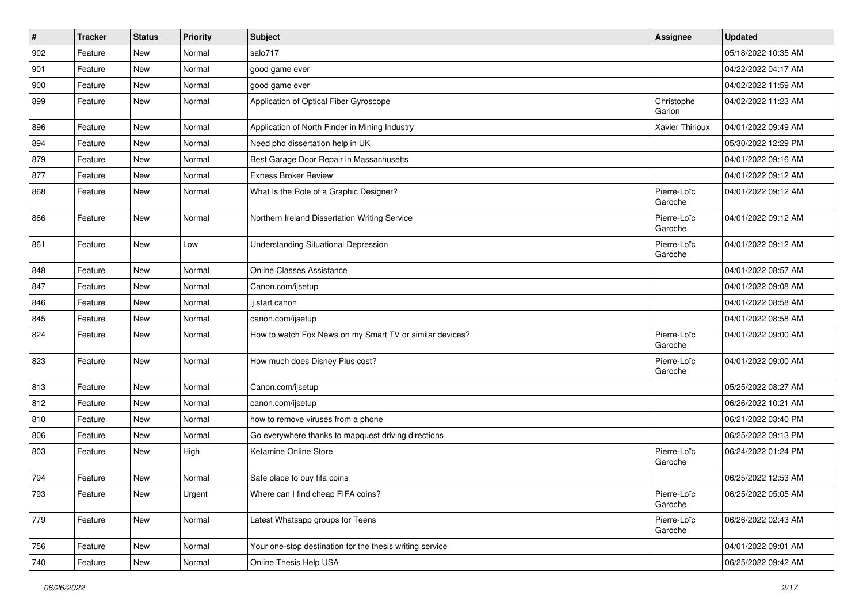| $\vert$ # | Tracker | <b>Status</b> | <b>Priority</b> | Subject                                                  | Assignee               | <b>Updated</b>      |
|-----------|---------|---------------|-----------------|----------------------------------------------------------|------------------------|---------------------|
| 902       | Feature | <b>New</b>    | Normal          | salo717                                                  |                        | 05/18/2022 10:35 AM |
| 901       | Feature | <b>New</b>    | Normal          | good game ever                                           |                        | 04/22/2022 04:17 AM |
| 900       | Feature | New           | Normal          | good game ever                                           |                        | 04/02/2022 11:59 AM |
| 899       | Feature | New           | Normal          | Application of Optical Fiber Gyroscope                   | Christophe<br>Garion   | 04/02/2022 11:23 AM |
| 896       | Feature | <b>New</b>    | Normal          | Application of North Finder in Mining Industry           | Xavier Thirioux        | 04/01/2022 09:49 AM |
| 894       | Feature | <b>New</b>    | Normal          | Need phd dissertation help in UK                         |                        | 05/30/2022 12:29 PM |
| 879       | Feature | New           | Normal          | Best Garage Door Repair in Massachusetts                 |                        | 04/01/2022 09:16 AM |
| 877       | Feature | New           | Normal          | <b>Exness Broker Review</b>                              |                        | 04/01/2022 09:12 AM |
| 868       | Feature | <b>New</b>    | Normal          | What Is the Role of a Graphic Designer?                  | Pierre-Loïc<br>Garoche | 04/01/2022 09:12 AM |
| 866       | Feature | New           | Normal          | Northern Ireland Dissertation Writing Service            | Pierre-Loïc<br>Garoche | 04/01/2022 09:12 AM |
| 861       | Feature | <b>New</b>    | Low             | <b>Understanding Situational Depression</b>              | Pierre-Loïc<br>Garoche | 04/01/2022 09:12 AM |
| 848       | Feature | New           | Normal          | Online Classes Assistance                                |                        | 04/01/2022 08:57 AM |
| 847       | Feature | New           | Normal          | Canon.com/ijsetup                                        |                        | 04/01/2022 09:08 AM |
| 846       | Feature | <b>New</b>    | Normal          | ij.start canon                                           |                        | 04/01/2022 08:58 AM |
| 845       | Feature | New           | Normal          | canon.com/ijsetup                                        |                        | 04/01/2022 08:58 AM |
| 824       | Feature | New           | Normal          | How to watch Fox News on my Smart TV or similar devices? | Pierre-Loïc<br>Garoche | 04/01/2022 09:00 AM |
| 823       | Feature | <b>New</b>    | Normal          | How much does Disney Plus cost?                          | Pierre-Loïc<br>Garoche | 04/01/2022 09:00 AM |
| 813       | Feature | New           | Normal          | Canon.com/ijsetup                                        |                        | 05/25/2022 08:27 AM |
| 812       | Feature | New           | Normal          | canon.com/ijsetup                                        |                        | 06/26/2022 10:21 AM |
| 810       | Feature | <b>New</b>    | Normal          | how to remove viruses from a phone                       |                        | 06/21/2022 03:40 PM |
| 806       | Feature | New           | Normal          | Go everywhere thanks to mapquest driving directions      |                        | 06/25/2022 09:13 PM |
| 803       | Feature | New           | High            | Ketamine Online Store                                    | Pierre-Loïc<br>Garoche | 06/24/2022 01:24 PM |
| 794       | Feature | <b>New</b>    | Normal          | Safe place to buy fifa coins                             |                        | 06/25/2022 12:53 AM |
| 793       | Feature | New           | Urgent          | Where can I find cheap FIFA coins?                       | Pierre-Loïc<br>Garoche | 06/25/2022 05:05 AM |
| 779       | Feature | New           | Normal          | Latest Whatsapp groups for Teens                         | Pierre-Loïc<br>Garoche | 06/26/2022 02:43 AM |
| 756       | Feature | New           | Normal          | Your one-stop destination for the thesis writing service |                        | 04/01/2022 09:01 AM |
| 740       | Feature | New           | Normal          | Online Thesis Help USA                                   |                        | 06/25/2022 09:42 AM |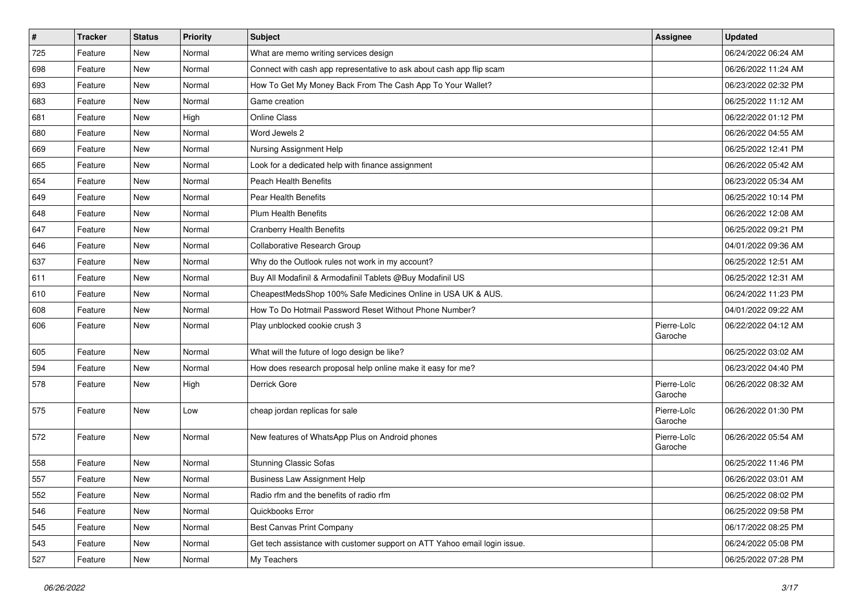| $\vert$ # | <b>Tracker</b> | <b>Status</b> | <b>Priority</b> | <b>Subject</b>                                                            | Assignee               | <b>Updated</b>      |
|-----------|----------------|---------------|-----------------|---------------------------------------------------------------------------|------------------------|---------------------|
| 725       | Feature        | New           | Normal          | What are memo writing services design                                     |                        | 06/24/2022 06:24 AM |
| 698       | Feature        | <b>New</b>    | Normal          | Connect with cash app representative to ask about cash app flip scam      |                        | 06/26/2022 11:24 AM |
| 693       | Feature        | New           | Normal          | How To Get My Money Back From The Cash App To Your Wallet?                |                        | 06/23/2022 02:32 PM |
| 683       | Feature        | <b>New</b>    | Normal          | Game creation                                                             |                        | 06/25/2022 11:12 AM |
| 681       | Feature        | New           | High            | <b>Online Class</b>                                                       |                        | 06/22/2022 01:12 PM |
| 680       | Feature        | New           | Normal          | Word Jewels 2                                                             |                        | 06/26/2022 04:55 AM |
| 669       | Feature        | New           | Normal          | Nursing Assignment Help                                                   |                        | 06/25/2022 12:41 PM |
| 665       | Feature        | New           | Normal          | Look for a dedicated help with finance assignment                         |                        | 06/26/2022 05:42 AM |
| 654       | Feature        | New           | Normal          | <b>Peach Health Benefits</b>                                              |                        | 06/23/2022 05:34 AM |
| 649       | Feature        | New           | Normal          | <b>Pear Health Benefits</b>                                               |                        | 06/25/2022 10:14 PM |
| 648       | Feature        | New           | Normal          | <b>Plum Health Benefits</b>                                               |                        | 06/26/2022 12:08 AM |
| 647       | Feature        | New           | Normal          | <b>Cranberry Health Benefits</b>                                          |                        | 06/25/2022 09:21 PM |
| 646       | Feature        | New           | Normal          | Collaborative Research Group                                              |                        | 04/01/2022 09:36 AM |
| 637       | Feature        | New           | Normal          | Why do the Outlook rules not work in my account?                          |                        | 06/25/2022 12:51 AM |
| 611       | Feature        | <b>New</b>    | Normal          | Buy All Modafinil & Armodafinil Tablets @Buy Modafinil US                 |                        | 06/25/2022 12:31 AM |
| 610       | Feature        | New           | Normal          | CheapestMedsShop 100% Safe Medicines Online in USA UK & AUS.              |                        | 06/24/2022 11:23 PM |
| 608       | Feature        | New           | Normal          | How To Do Hotmail Password Reset Without Phone Number?                    |                        | 04/01/2022 09:22 AM |
| 606       | Feature        | New           | Normal          | Play unblocked cookie crush 3                                             | Pierre-Loïc<br>Garoche | 06/22/2022 04:12 AM |
| 605       | Feature        | New           | Normal          | What will the future of logo design be like?                              |                        | 06/25/2022 03:02 AM |
| 594       | Feature        | New           | Normal          | How does research proposal help online make it easy for me?               |                        | 06/23/2022 04:40 PM |
| 578       | Feature        | New           | High            | Derrick Gore                                                              | Pierre-Loïc<br>Garoche | 06/26/2022 08:32 AM |
| 575       | Feature        | New           | Low             | cheap jordan replicas for sale                                            | Pierre-Loïc<br>Garoche | 06/26/2022 01:30 PM |
| 572       | Feature        | <b>New</b>    | Normal          | New features of WhatsApp Plus on Android phones                           | Pierre-Loïc<br>Garoche | 06/26/2022 05:54 AM |
| 558       | Feature        | New           | Normal          | <b>Stunning Classic Sofas</b>                                             |                        | 06/25/2022 11:46 PM |
| 557       | Feature        | <b>New</b>    | Normal          | Business Law Assignment Help                                              |                        | 06/26/2022 03:01 AM |
| 552       | Feature        | <b>New</b>    | Normal          | Radio rfm and the benefits of radio rfm                                   |                        | 06/25/2022 08:02 PM |
| 546       | Feature        | New           | Normal          | Quickbooks Error                                                          |                        | 06/25/2022 09:58 PM |
| 545       | Feature        | New           | Normal          | Best Canvas Print Company                                                 |                        | 06/17/2022 08:25 PM |
| 543       | Feature        | New           | Normal          | Get tech assistance with customer support on ATT Yahoo email login issue. |                        | 06/24/2022 05:08 PM |
| 527       | Feature        | New           | Normal          | My Teachers                                                               |                        | 06/25/2022 07:28 PM |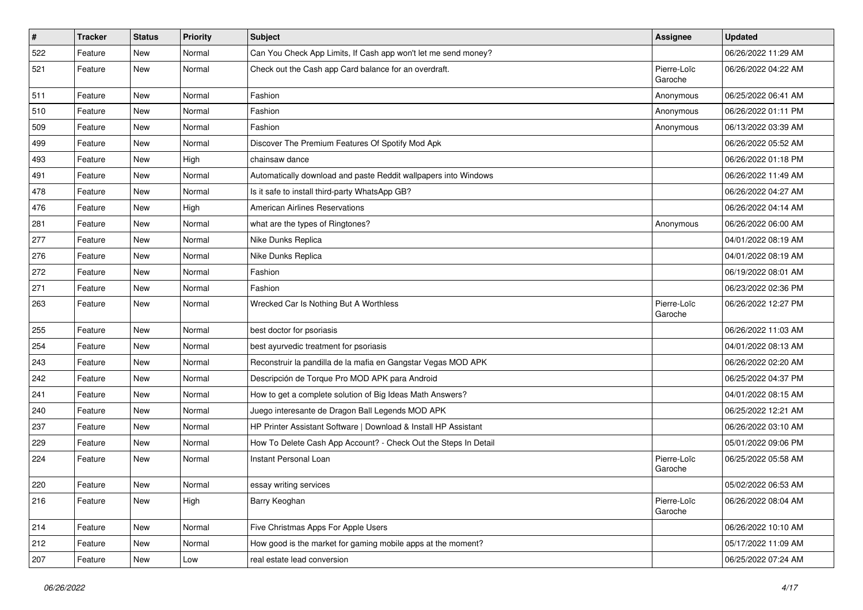| $\vert$ #     | <b>Tracker</b> | <b>Status</b> | <b>Priority</b> | <b>Subject</b>                                                  | Assignee               | <b>Updated</b>      |
|---------------|----------------|---------------|-----------------|-----------------------------------------------------------------|------------------------|---------------------|
| 522           | Feature        | New           | Normal          | Can You Check App Limits, If Cash app won't let me send money?  |                        | 06/26/2022 11:29 AM |
| 521           | Feature        | New           | Normal          | Check out the Cash app Card balance for an overdraft.           | Pierre-Loïc<br>Garoche | 06/26/2022 04:22 AM |
| 511           | Feature        | New           | Normal          | Fashion                                                         | Anonymous              | 06/25/2022 06:41 AM |
| 510           | Feature        | <b>New</b>    | Normal          | Fashion                                                         | Anonymous              | 06/26/2022 01:11 PM |
| 509           | Feature        | New           | Normal          | Fashion                                                         | Anonymous              | 06/13/2022 03:39 AM |
| 499           | Feature        | New           | Normal          | Discover The Premium Features Of Spotify Mod Apk                |                        | 06/26/2022 05:52 AM |
| 493           | Feature        | New           | High            | chainsaw dance                                                  |                        | 06/26/2022 01:18 PM |
| 491           | Feature        | New           | Normal          | Automatically download and paste Reddit wallpapers into Windows |                        | 06/26/2022 11:49 AM |
| 478           | Feature        | <b>New</b>    | Normal          | Is it safe to install third-party WhatsApp GB?                  |                        | 06/26/2022 04:27 AM |
| 476           | Feature        | New           | High            | <b>American Airlines Reservations</b>                           |                        | 06/26/2022 04:14 AM |
| 281           | Feature        | New           | Normal          | what are the types of Ringtones?                                | Anonymous              | 06/26/2022 06:00 AM |
| 277           | Feature        | New           | Normal          | Nike Dunks Replica                                              |                        | 04/01/2022 08:19 AM |
| 276           | Feature        | <b>New</b>    | Normal          | Nike Dunks Replica                                              |                        | 04/01/2022 08:19 AM |
| 272           | Feature        | <b>New</b>    | Normal          | Fashion                                                         |                        | 06/19/2022 08:01 AM |
| 271           | Feature        | New           | Normal          | Fashion                                                         |                        | 06/23/2022 02:36 PM |
| 263           | Feature        | New           | Normal          | Wrecked Car Is Nothing But A Worthless                          | Pierre-Loïc<br>Garoche | 06/26/2022 12:27 PM |
| 255           | Feature        | New           | Normal          | best doctor for psoriasis                                       |                        | 06/26/2022 11:03 AM |
| 254           | Feature        | New           | Normal          | best ayurvedic treatment for psoriasis                          |                        | 04/01/2022 08:13 AM |
| 243           | Feature        | New           | Normal          | Reconstruir la pandilla de la mafia en Gangstar Vegas MOD APK   |                        | 06/26/2022 02:20 AM |
| 242           | Feature        | New           | Normal          | Descripción de Torque Pro MOD APK para Android                  |                        | 06/25/2022 04:37 PM |
| 241           | Feature        | New           | Normal          | How to get a complete solution of Big Ideas Math Answers?       |                        | 04/01/2022 08:15 AM |
| 240           | Feature        | New           | Normal          | Juego interesante de Dragon Ball Legends MOD APK                |                        | 06/25/2022 12:21 AM |
| 237           | Feature        | New           | Normal          | HP Printer Assistant Software   Download & Install HP Assistant |                        | 06/26/2022 03:10 AM |
| 229           | Feature        | New           | Normal          | How To Delete Cash App Account? - Check Out the Steps In Detail |                        | 05/01/2022 09:06 PM |
| 224           | Feature        | New           | Normal          | Instant Personal Loan                                           | Pierre-Loïc<br>Garoche | 06/25/2022 05:58 AM |
| 220           | Feature        | New           | Normal          | essay writing services                                          |                        | 05/02/2022 06:53 AM |
| $ 216\rangle$ | Feature        | New           | High            | Barry Keoghan                                                   | Pierre-Loïc<br>Garoche | 06/26/2022 08:04 AM |
| 214           | Feature        | New           | Normal          | Five Christmas Apps For Apple Users                             |                        | 06/26/2022 10:10 AM |
| 212           | Feature        | New           | Normal          | How good is the market for gaming mobile apps at the moment?    |                        | 05/17/2022 11:09 AM |
| 207           | Feature        | New           | Low             | real estate lead conversion                                     |                        | 06/25/2022 07:24 AM |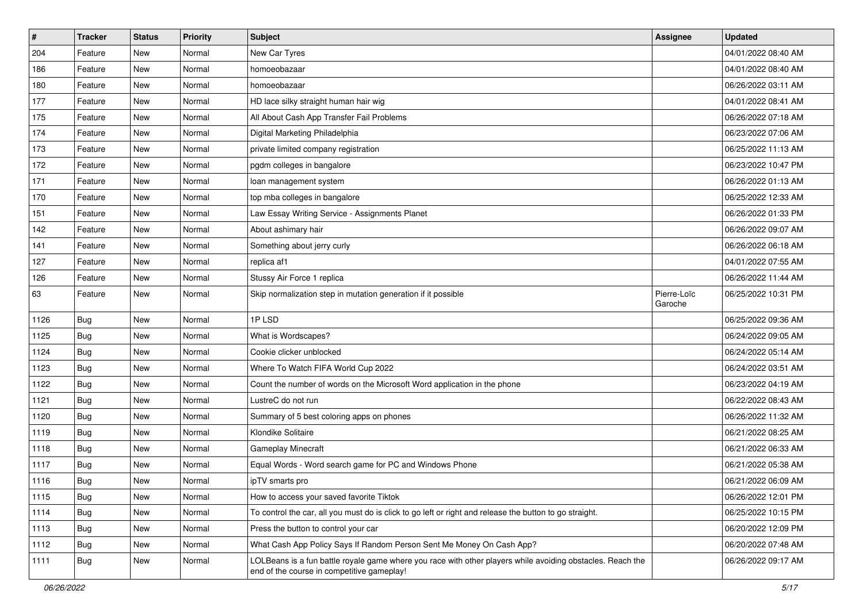| #    | Tracker    | <b>Status</b> | <b>Priority</b> | <b>Subject</b>                                                                                                                                           | Assignee               | <b>Updated</b>      |
|------|------------|---------------|-----------------|----------------------------------------------------------------------------------------------------------------------------------------------------------|------------------------|---------------------|
| 204  | Feature    | New           | Normal          | New Car Tyres                                                                                                                                            |                        | 04/01/2022 08:40 AM |
| 186  | Feature    | <b>New</b>    | Normal          | homoeobazaar                                                                                                                                             |                        | 04/01/2022 08:40 AM |
| 180  | Feature    | New           | Normal          | homoeobazaar                                                                                                                                             |                        | 06/26/2022 03:11 AM |
| 177  | Feature    | New           | Normal          | HD lace silky straight human hair wig                                                                                                                    |                        | 04/01/2022 08:41 AM |
| 175  | Feature    | New           | Normal          | All About Cash App Transfer Fail Problems                                                                                                                |                        | 06/26/2022 07:18 AM |
| 174  | Feature    | New           | Normal          | Digital Marketing Philadelphia                                                                                                                           |                        | 06/23/2022 07:06 AM |
| 173  | Feature    | <b>New</b>    | Normal          | private limited company registration                                                                                                                     |                        | 06/25/2022 11:13 AM |
| 172  | Feature    | New           | Normal          | pgdm colleges in bangalore                                                                                                                               |                        | 06/23/2022 10:47 PM |
| 171  | Feature    | New           | Normal          | loan management system                                                                                                                                   |                        | 06/26/2022 01:13 AM |
| 170  | Feature    | <b>New</b>    | Normal          | top mba colleges in bangalore                                                                                                                            |                        | 06/25/2022 12:33 AM |
| 151  | Feature    | <b>New</b>    | Normal          | Law Essay Writing Service - Assignments Planet                                                                                                           |                        | 06/26/2022 01:33 PM |
| 142  | Feature    | New           | Normal          | About ashimary hair                                                                                                                                      |                        | 06/26/2022 09:07 AM |
| 141  | Feature    | New           | Normal          | Something about jerry curly                                                                                                                              |                        | 06/26/2022 06:18 AM |
| 127  | Feature    | New           | Normal          | replica af1                                                                                                                                              |                        | 04/01/2022 07:55 AM |
| 126  | Feature    | New           | Normal          | Stussy Air Force 1 replica                                                                                                                               |                        | 06/26/2022 11:44 AM |
| 63   | Feature    | New           | Normal          | Skip normalization step in mutation generation if it possible                                                                                            | Pierre-Loïc<br>Garoche | 06/25/2022 10:31 PM |
| 1126 | Bug        | <b>New</b>    | Normal          | 1PLSD                                                                                                                                                    |                        | 06/25/2022 09:36 AM |
| 1125 | <b>Bug</b> | New           | Normal          | What is Wordscapes?                                                                                                                                      |                        | 06/24/2022 09:05 AM |
| 1124 | <b>Bug</b> | <b>New</b>    | Normal          | Cookie clicker unblocked                                                                                                                                 |                        | 06/24/2022 05:14 AM |
| 1123 | <b>Bug</b> | New           | Normal          | Where To Watch FIFA World Cup 2022                                                                                                                       |                        | 06/24/2022 03:51 AM |
| 1122 | <b>Bug</b> | <b>New</b>    | Normal          | Count the number of words on the Microsoft Word application in the phone                                                                                 |                        | 06/23/2022 04:19 AM |
| 1121 | Bug        | <b>New</b>    | Normal          | LustreC do not run                                                                                                                                       |                        | 06/22/2022 08:43 AM |
| 1120 | <b>Bug</b> | New           | Normal          | Summary of 5 best coloring apps on phones                                                                                                                |                        | 06/26/2022 11:32 AM |
| 1119 | <b>Bug</b> | New           | Normal          | Klondike Solitaire                                                                                                                                       |                        | 06/21/2022 08:25 AM |
| 1118 | <b>Bug</b> | New           | Normal          | <b>Gameplay Minecraft</b>                                                                                                                                |                        | 06/21/2022 06:33 AM |
| 1117 | Bug        | New           | Normal          | Equal Words - Word search game for PC and Windows Phone                                                                                                  |                        | 06/21/2022 05:38 AM |
| 1116 | <b>Bug</b> | New           | Normal          | ipTV smarts pro                                                                                                                                          |                        | 06/21/2022 06:09 AM |
| 1115 | <b>Bug</b> | New           | Normal          | How to access your saved favorite Tiktok                                                                                                                 |                        | 06/26/2022 12:01 PM |
| 1114 | Bug        | New           | Normal          | To control the car, all you must do is click to go left or right and release the button to go straight.                                                  |                        | 06/25/2022 10:15 PM |
| 1113 | <b>Bug</b> | <b>New</b>    | Normal          | Press the button to control your car                                                                                                                     |                        | 06/20/2022 12:09 PM |
| 1112 | Bug        | New           | Normal          | What Cash App Policy Says If Random Person Sent Me Money On Cash App?                                                                                    |                        | 06/20/2022 07:48 AM |
| 1111 | <b>Bug</b> | New           | Normal          | LOLBeans is a fun battle royale game where you race with other players while avoiding obstacles. Reach the<br>end of the course in competitive gameplay! |                        | 06/26/2022 09:17 AM |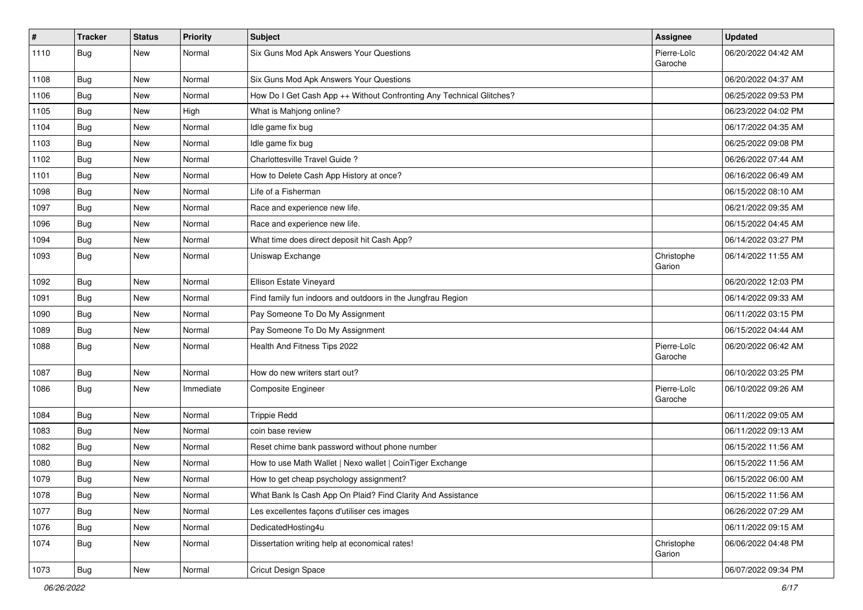| $\sharp$ | Tracker    | <b>Status</b> | <b>Priority</b> | Subject                                                              | Assignee               | <b>Updated</b>      |
|----------|------------|---------------|-----------------|----------------------------------------------------------------------|------------------------|---------------------|
| 1110     | <b>Bug</b> | New           | Normal          | Six Guns Mod Apk Answers Your Questions                              | Pierre-Loïc<br>Garoche | 06/20/2022 04:42 AM |
| 1108     | Bug        | New           | Normal          | Six Guns Mod Apk Answers Your Questions                              |                        | 06/20/2022 04:37 AM |
| 1106     | <b>Bug</b> | <b>New</b>    | Normal          | How Do I Get Cash App ++ Without Confronting Any Technical Glitches? |                        | 06/25/2022 09:53 PM |
| 1105     | Bug        | <b>New</b>    | High            | What is Mahjong online?                                              |                        | 06/23/2022 04:02 PM |
| 1104     | <b>Bug</b> | New           | Normal          | Idle game fix bug                                                    |                        | 06/17/2022 04:35 AM |
| 1103     | Bug        | New           | Normal          | Idle game fix bug                                                    |                        | 06/25/2022 09:08 PM |
| 1102     | <b>Bug</b> | New           | Normal          | Charlottesville Travel Guide?                                        |                        | 06/26/2022 07:44 AM |
| 1101     | <b>Bug</b> | <b>New</b>    | Normal          | How to Delete Cash App History at once?                              |                        | 06/16/2022 06:49 AM |
| 1098     | <b>Bug</b> | New           | Normal          | Life of a Fisherman                                                  |                        | 06/15/2022 08:10 AM |
| 1097     | <b>Bug</b> | New           | Normal          | Race and experience new life.                                        |                        | 06/21/2022 09:35 AM |
| 1096     | Bug        | New           | Normal          | Race and experience new life.                                        |                        | 06/15/2022 04:45 AM |
| 1094     | <b>Bug</b> | <b>New</b>    | Normal          | What time does direct deposit hit Cash App?                          |                        | 06/14/2022 03:27 PM |
| 1093     | Bug        | New           | Normal          | Uniswap Exchange                                                     | Christophe<br>Garion   | 06/14/2022 11:55 AM |
| 1092     | Bug        | New           | Normal          | Ellison Estate Vineyard                                              |                        | 06/20/2022 12:03 PM |
| 1091     | <b>Bug</b> | <b>New</b>    | Normal          | Find family fun indoors and outdoors in the Jungfrau Region          |                        | 06/14/2022 09:33 AM |
| 1090     | Bug        | <b>New</b>    | Normal          | Pay Someone To Do My Assignment                                      |                        | 06/11/2022 03:15 PM |
| 1089     | <b>Bug</b> | New           | Normal          | Pay Someone To Do My Assignment                                      |                        | 06/15/2022 04:44 AM |
| 1088     | <b>Bug</b> | New           | Normal          | Health And Fitness Tips 2022                                         | Pierre-Loïc<br>Garoche | 06/20/2022 06:42 AM |
| 1087     | Bug        | <b>New</b>    | Normal          | How do new writers start out?                                        |                        | 06/10/2022 03:25 PM |
| 1086     | Bug        | New           | Immediate       | <b>Composite Engineer</b>                                            | Pierre-Loïc<br>Garoche | 06/10/2022 09:26 AM |
| 1084     | Bug        | <b>New</b>    | Normal          | <b>Trippie Redd</b>                                                  |                        | 06/11/2022 09:05 AM |
| 1083     | Bug        | New           | Normal          | coin base review                                                     |                        | 06/11/2022 09:13 AM |
| 1082     | <b>Bug</b> | New           | Normal          | Reset chime bank password without phone number                       |                        | 06/15/2022 11:56 AM |
| 1080     | Bug        | New           | Normal          | How to use Math Wallet   Nexo wallet   CoinTiger Exchange            |                        | 06/15/2022 11:56 AM |
| 1079     | Bug        | New           | Normal          | How to get cheap psychology assignment?                              |                        | 06/15/2022 06:00 AM |
| 1078     | <b>Bug</b> | New           | Normal          | What Bank Is Cash App On Plaid? Find Clarity And Assistance          |                        | 06/15/2022 11:56 AM |
| 1077     | <b>Bug</b> | New           | Normal          | Les excellentes façons d'utiliser ces images                         |                        | 06/26/2022 07:29 AM |
| 1076     | <b>Bug</b> | New           | Normal          | DedicatedHosting4u                                                   |                        | 06/11/2022 09:15 AM |
| 1074     | <b>Bug</b> | New           | Normal          | Dissertation writing help at economical rates!                       | Christophe<br>Garion   | 06/06/2022 04:48 PM |
| 1073     | <b>Bug</b> | New           | Normal          | Cricut Design Space                                                  |                        | 06/07/2022 09:34 PM |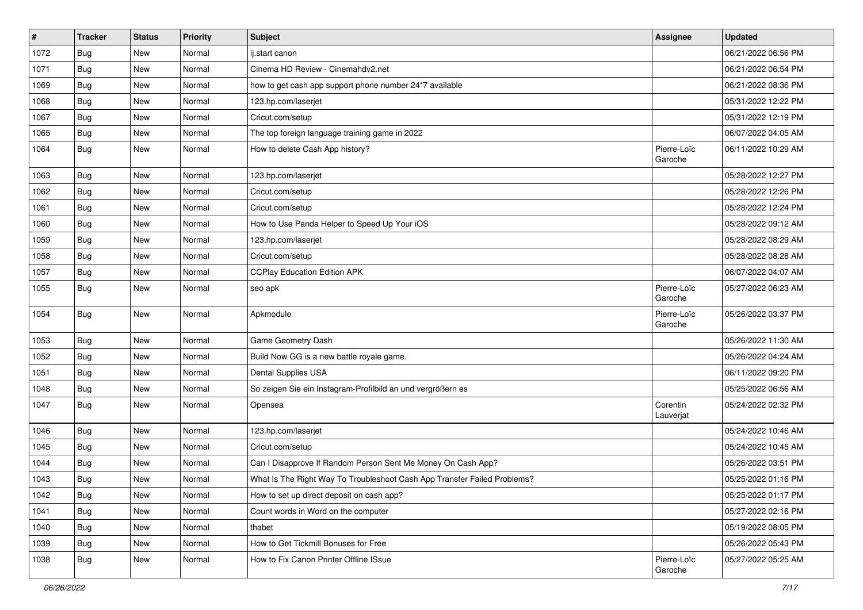| $\vert$ # | <b>Tracker</b> | <b>Status</b> | <b>Priority</b> | <b>Subject</b>                                                           | <b>Assignee</b>        | <b>Updated</b>      |
|-----------|----------------|---------------|-----------------|--------------------------------------------------------------------------|------------------------|---------------------|
| 1072      | <b>Bug</b>     | New           | Normal          | ij.start canon                                                           |                        | 06/21/2022 06:56 PM |
| 1071      | Bug            | New           | Normal          | Cinema HD Review - Cinemahdy2.net                                        |                        | 06/21/2022 06:54 PM |
| 1069      | Bug            | New           | Normal          | how to get cash app support phone number 24*7 available                  |                        | 06/21/2022 08:36 PM |
| 1068      | <b>Bug</b>     | New           | Normal          | 123.hp.com/laserjet                                                      |                        | 05/31/2022 12:22 PM |
| 1067      | Bug            | <b>New</b>    | Normal          | Cricut.com/setup                                                         |                        | 05/31/2022 12:19 PM |
| 1065      | <b>Bug</b>     | New           | Normal          | The top foreign language training game in 2022                           |                        | 06/07/2022 04:05 AM |
| 1064      | Bug            | New           | Normal          | How to delete Cash App history?                                          | Pierre-Loïc<br>Garoche | 06/11/2022 10:29 AM |
| 1063      | Bug            | <b>New</b>    | Normal          | 123.hp.com/laserjet                                                      |                        | 05/28/2022 12:27 PM |
| 1062      | <b>Bug</b>     | New           | Normal          | Cricut.com/setup                                                         |                        | 05/28/2022 12:26 PM |
| 1061      | Bug            | New           | Normal          | Cricut.com/setup                                                         |                        | 05/28/2022 12:24 PM |
| 1060      | Bug            | New           | Normal          | How to Use Panda Helper to Speed Up Your iOS                             |                        | 05/28/2022 09:12 AM |
| 1059      | Bug            | <b>New</b>    | Normal          | 123.hp.com/laserjet                                                      |                        | 05/28/2022 08:29 AM |
| 1058      | <b>Bug</b>     | New           | Normal          | Cricut.com/setup                                                         |                        | 05/28/2022 08:28 AM |
| 1057      | Bug            | New           | Normal          | <b>CCPlay Education Edition APK</b>                                      |                        | 06/07/2022 04:07 AM |
| 1055      | Bug            | New           | Normal          | seo apk                                                                  | Pierre-Loïc<br>Garoche | 05/27/2022 06:23 AM |
| 1054      | <b>Bug</b>     | New           | Normal          | Apkmodule                                                                | Pierre-Loïc<br>Garoche | 05/26/2022 03:37 PM |
| 1053      | <b>Bug</b>     | <b>New</b>    | Normal          | Game Geometry Dash                                                       |                        | 05/26/2022 11:30 AM |
| 1052      | Bug            | <b>New</b>    | Normal          | Build Now GG is a new battle royale game.                                |                        | 05/26/2022 04:24 AM |
| 1051      | <b>Bug</b>     | New           | Normal          | Dental Supplies USA                                                      |                        | 06/11/2022 09:20 PM |
| 1048      | Bug            | New           | Normal          | So zeigen Sie ein Instagram-Profilbild an und vergrößern es              |                        | 05/25/2022 06:56 AM |
| 1047      | <b>Bug</b>     | New           | Normal          | Opensea                                                                  | Corentin<br>Lauverjat  | 05/24/2022 02:32 PM |
| 1046      | Bug            | <b>New</b>    | Normal          | 123.hp.com/laserjet                                                      |                        | 05/24/2022 10:46 AM |
| 1045      | <b>Bug</b>     | New           | Normal          | Cricut.com/setup                                                         |                        | 05/24/2022 10:45 AM |
| 1044      | <b>Bug</b>     | New           | Normal          | Can I Disapprove If Random Person Sent Me Money On Cash App?             |                        | 05/26/2022 03:51 PM |
| 1043      | <b>Bug</b>     | <b>New</b>    | Normal          | What Is The Right Way To Troubleshoot Cash App Transfer Failed Problems? |                        | 05/25/2022 01:16 PM |
| 1042      | Bug            | New           | Normal          | How to set up direct deposit on cash app?                                |                        | 05/25/2022 01:17 PM |
| 1041      | <b>Bug</b>     | New           | Normal          | Count words in Word on the computer                                      |                        | 05/27/2022 02:16 PM |
| 1040      | Bug            | New           | Normal          | thabet                                                                   |                        | 05/19/2022 08:05 PM |
| 1039      | Bug            | New           | Normal          | How to Get Tickmill Bonuses for Free                                     |                        | 05/26/2022 05:43 PM |
| 1038      | <b>Bug</b>     | New           | Normal          | How to Fix Canon Printer Offline ISsue                                   | Pierre-Loïc<br>Garoche | 05/27/2022 05:25 AM |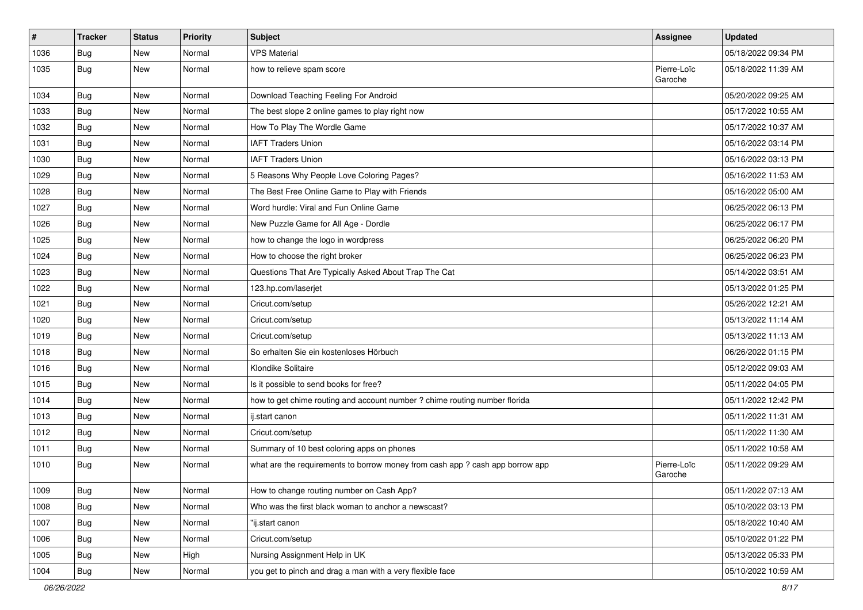| $\vert$ # | <b>Tracker</b> | <b>Status</b> | <b>Priority</b> | <b>Subject</b>                                                                | <b>Assignee</b>        | <b>Updated</b>      |
|-----------|----------------|---------------|-----------------|-------------------------------------------------------------------------------|------------------------|---------------------|
| 1036      | <b>Bug</b>     | New           | Normal          | <b>VPS Material</b>                                                           |                        | 05/18/2022 09:34 PM |
| 1035      | Bug            | New           | Normal          | how to relieve spam score                                                     | Pierre-Loïc<br>Garoche | 05/18/2022 11:39 AM |
| 1034      | <b>Bug</b>     | <b>New</b>    | Normal          | Download Teaching Feeling For Android                                         |                        | 05/20/2022 09:25 AM |
| 1033      | Bug            | <b>New</b>    | Normal          | The best slope 2 online games to play right now                               |                        | 05/17/2022 10:55 AM |
| 1032      | <b>Bug</b>     | New           | Normal          | How To Play The Wordle Game                                                   |                        | 05/17/2022 10:37 AM |
| 1031      | Bug            | New           | Normal          | <b>IAFT Traders Union</b>                                                     |                        | 05/16/2022 03:14 PM |
| 1030      | <b>Bug</b>     | <b>New</b>    | Normal          | <b>IAFT Traders Union</b>                                                     |                        | 05/16/2022 03:13 PM |
| 1029      | <b>Bug</b>     | New           | Normal          | 5 Reasons Why People Love Coloring Pages?                                     |                        | 05/16/2022 11:53 AM |
| 1028      | Bug            | <b>New</b>    | Normal          | The Best Free Online Game to Play with Friends                                |                        | 05/16/2022 05:00 AM |
| 1027      | Bug            | New           | Normal          | Word hurdle: Viral and Fun Online Game                                        |                        | 06/25/2022 06:13 PM |
| 1026      | <b>Bug</b>     | New           | Normal          | New Puzzle Game for All Age - Dordle                                          |                        | 06/25/2022 06:17 PM |
| 1025      | <b>Bug</b>     | <b>New</b>    | Normal          | how to change the logo in wordpress                                           |                        | 06/25/2022 06:20 PM |
| 1024      | <b>Bug</b>     | New           | Normal          | How to choose the right broker                                                |                        | 06/25/2022 06:23 PM |
| 1023      | <b>Bug</b>     | New           | Normal          | Questions That Are Typically Asked About Trap The Cat                         |                        | 05/14/2022 03:51 AM |
| 1022      | <b>Bug</b>     | New           | Normal          | 123.hp.com/laserjet                                                           |                        | 05/13/2022 01:25 PM |
| 1021      | Bug            | <b>New</b>    | Normal          | Cricut.com/setup                                                              |                        | 05/26/2022 12:21 AM |
| 1020      | Bug            | <b>New</b>    | Normal          | Cricut.com/setup                                                              |                        | 05/13/2022 11:14 AM |
| 1019      | <b>Bug</b>     | New           | Normal          | Cricut.com/setup                                                              |                        | 05/13/2022 11:13 AM |
| 1018      | Bug            | New           | Normal          | So erhalten Sie ein kostenloses Hörbuch                                       |                        | 06/26/2022 01:15 PM |
| 1016      | Bug            | <b>New</b>    | Normal          | Klondike Solitaire                                                            |                        | 05/12/2022 09:03 AM |
| 1015      | <b>Bug</b>     | <b>New</b>    | Normal          | Is it possible to send books for free?                                        |                        | 05/11/2022 04:05 PM |
| 1014      | Bug            | <b>New</b>    | Normal          | how to get chime routing and account number ? chime routing number florida    |                        | 05/11/2022 12:42 PM |
| 1013      | <b>Bug</b>     | New           | Normal          | ij.start canon                                                                |                        | 05/11/2022 11:31 AM |
| 1012      | <b>Bug</b>     | New           | Normal          | Cricut.com/setup                                                              |                        | 05/11/2022 11:30 AM |
| 1011      | <b>Bug</b>     | <b>New</b>    | Normal          | Summary of 10 best coloring apps on phones                                    |                        | 05/11/2022 10:58 AM |
| 1010      | <b>Bug</b>     | New           | Normal          | what are the requirements to borrow money from cash app ? cash app borrow app | Pierre-Loïc<br>Garoche | 05/11/2022 09:29 AM |
| 1009      | <b>Bug</b>     | New           | Normal          | How to change routing number on Cash App?                                     |                        | 05/11/2022 07:13 AM |
| 1008      | Bug            | <b>New</b>    | Normal          | Who was the first black woman to anchor a newscast?                           |                        | 05/10/2022 03:13 PM |
| 1007      | <b>Bug</b>     | <b>New</b>    | Normal          | "ij.start canon                                                               |                        | 05/18/2022 10:40 AM |
| 1006      | <b>Bug</b>     | New           | Normal          | Cricut.com/setup                                                              |                        | 05/10/2022 01:22 PM |
| 1005      | Bug            | New           | High            | Nursing Assignment Help in UK                                                 |                        | 05/13/2022 05:33 PM |
| 1004      | <b>Bug</b>     | New           | Normal          | you get to pinch and drag a man with a very flexible face                     |                        | 05/10/2022 10:59 AM |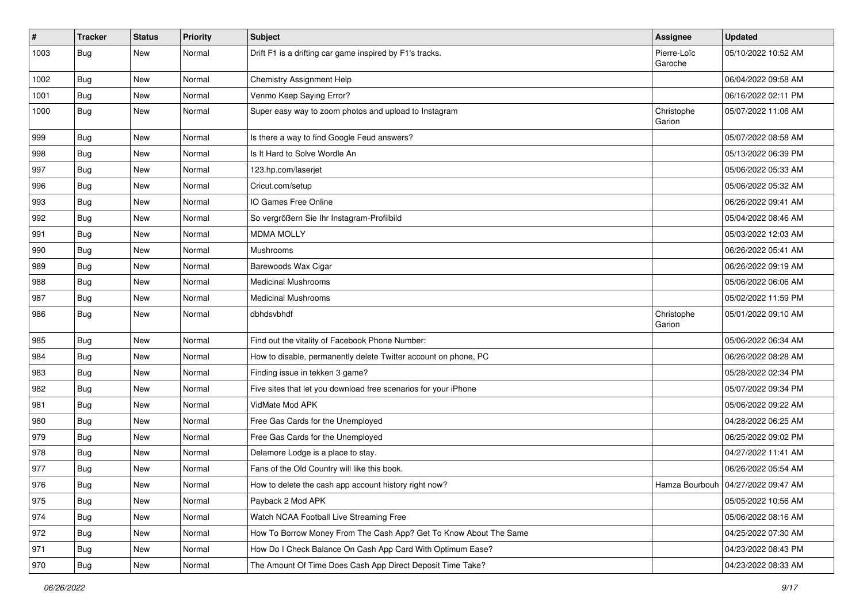| #    | <b>Tracker</b> | <b>Status</b> | <b>Priority</b> | Subject                                                           | Assignee               | <b>Updated</b>                       |
|------|----------------|---------------|-----------------|-------------------------------------------------------------------|------------------------|--------------------------------------|
| 1003 | <b>Bug</b>     | New           | Normal          | Drift F1 is a drifting car game inspired by F1's tracks.          | Pierre-Loïc<br>Garoche | 05/10/2022 10:52 AM                  |
| 1002 | <b>Bug</b>     | New           | Normal          | Chemistry Assignment Help                                         |                        | 06/04/2022 09:58 AM                  |
| 1001 | Bug            | New           | Normal          | Venmo Keep Saying Error?                                          |                        | 06/16/2022 02:11 PM                  |
| 1000 | <b>Bug</b>     | New           | Normal          | Super easy way to zoom photos and upload to Instagram             | Christophe<br>Garion   | 05/07/2022 11:06 AM                  |
| 999  | <b>Bug</b>     | New           | Normal          | Is there a way to find Google Feud answers?                       |                        | 05/07/2022 08:58 AM                  |
| 998  | <b>Bug</b>     | New           | Normal          | Is It Hard to Solve Wordle An                                     |                        | 05/13/2022 06:39 PM                  |
| 997  | <b>Bug</b>     | New           | Normal          | 123.hp.com/laserjet                                               |                        | 05/06/2022 05:33 AM                  |
| 996  | Bug            | <b>New</b>    | Normal          | Cricut.com/setup                                                  |                        | 05/06/2022 05:32 AM                  |
| 993  | <b>Bug</b>     | New           | Normal          | IO Games Free Online                                              |                        | 06/26/2022 09:41 AM                  |
| 992  | <b>Bug</b>     | New           | Normal          | So vergrößern Sie Ihr Instagram-Profilbild                        |                        | 05/04/2022 08:46 AM                  |
| 991  | Bug            | New           | Normal          | <b>MDMA MOLLY</b>                                                 |                        | 05/03/2022 12:03 AM                  |
| 990  | <b>Bug</b>     | New           | Normal          | Mushrooms                                                         |                        | 06/26/2022 05:41 AM                  |
| 989  | Bug            | New           | Normal          | Barewoods Wax Cigar                                               |                        | 06/26/2022 09:19 AM                  |
| 988  | <b>Bug</b>     | New           | Normal          | <b>Medicinal Mushrooms</b>                                        |                        | 05/06/2022 06:06 AM                  |
| 987  | <b>Bug</b>     | New           | Normal          | <b>Medicinal Mushrooms</b>                                        |                        | 05/02/2022 11:59 PM                  |
| 986  | <b>Bug</b>     | New           | Normal          | dbhdsvbhdf                                                        | Christophe<br>Garion   | 05/01/2022 09:10 AM                  |
| 985  | <b>Bug</b>     | <b>New</b>    | Normal          | Find out the vitality of Facebook Phone Number:                   |                        | 05/06/2022 06:34 AM                  |
| 984  | Bug            | New           | Normal          | How to disable, permanently delete Twitter account on phone, PC   |                        | 06/26/2022 08:28 AM                  |
| 983  | <b>Bug</b>     | New           | Normal          | Finding issue in tekken 3 game?                                   |                        | 05/28/2022 02:34 PM                  |
| 982  | Bug            | <b>New</b>    | Normal          | Five sites that let you download free scenarios for your iPhone   |                        | 05/07/2022 09:34 PM                  |
| 981  | <b>Bug</b>     | New           | Normal          | VidMate Mod APK                                                   |                        | 05/06/2022 09:22 AM                  |
| 980  | Bug            | New           | Normal          | Free Gas Cards for the Unemployed                                 |                        | 04/28/2022 06:25 AM                  |
| 979  | <b>Bug</b>     | New           | Normal          | Free Gas Cards for the Unemployed                                 |                        | 06/25/2022 09:02 PM                  |
| 978  | <b>Bug</b>     | New           | Normal          | Delamore Lodge is a place to stay.                                |                        | 04/27/2022 11:41 AM                  |
| 977  | <b>Bug</b>     | New           | Normal          | Fans of the Old Country will like this book.                      |                        | 06/26/2022 05:54 AM                  |
| 976  | Bug            | New           | Normal          | How to delete the cash app account history right now?             |                        | Hamza Bourbouh   04/27/2022 09:47 AM |
| 975  | Bug            | New           | Normal          | Payback 2 Mod APK                                                 |                        | 05/05/2022 10:56 AM                  |
| 974  | <b>Bug</b>     | <b>New</b>    | Normal          | Watch NCAA Football Live Streaming Free                           |                        | 05/06/2022 08:16 AM                  |
| 972  | <b>Bug</b>     | New           | Normal          | How To Borrow Money From The Cash App? Get To Know About The Same |                        | 04/25/2022 07:30 AM                  |
| 971  | <b>Bug</b>     | New           | Normal          | How Do I Check Balance On Cash App Card With Optimum Ease?        |                        | 04/23/2022 08:43 PM                  |
| 970  | Bug            | New           | Normal          | The Amount Of Time Does Cash App Direct Deposit Time Take?        |                        | 04/23/2022 08:33 AM                  |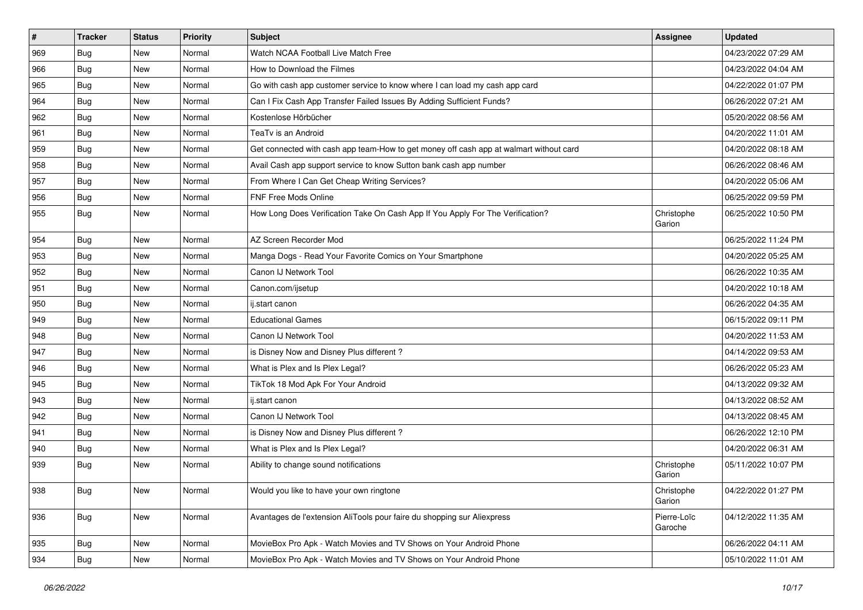| #   | <b>Tracker</b> | <b>Status</b> | <b>Priority</b> | <b>Subject</b>                                                                         | <b>Assignee</b>        | <b>Updated</b>      |
|-----|----------------|---------------|-----------------|----------------------------------------------------------------------------------------|------------------------|---------------------|
| 969 | <b>Bug</b>     | New           | Normal          | Watch NCAA Football Live Match Free                                                    |                        | 04/23/2022 07:29 AM |
| 966 | <b>Bug</b>     | New           | Normal          | How to Download the Filmes                                                             |                        | 04/23/2022 04:04 AM |
| 965 | <b>Bug</b>     | New           | Normal          | Go with cash app customer service to know where I can load my cash app card            |                        | 04/22/2022 01:07 PM |
| 964 | <b>Bug</b>     | New           | Normal          | Can I Fix Cash App Transfer Failed Issues By Adding Sufficient Funds?                  |                        | 06/26/2022 07:21 AM |
| 962 | <b>Bug</b>     | <b>New</b>    | Normal          | Kostenlose Hörbücher                                                                   |                        | 05/20/2022 08:56 AM |
| 961 | Bug            | New           | Normal          | TeaTv is an Android                                                                    |                        | 04/20/2022 11:01 AM |
| 959 | Bug            | New           | Normal          | Get connected with cash app team-How to get money off cash app at walmart without card |                        | 04/20/2022 08:18 AM |
| 958 | <b>Bug</b>     | New           | Normal          | Avail Cash app support service to know Sutton bank cash app number                     |                        | 06/26/2022 08:46 AM |
| 957 | <b>Bug</b>     | New           | Normal          | From Where I Can Get Cheap Writing Services?                                           |                        | 04/20/2022 05:06 AM |
| 956 | Bug            | New           | Normal          | FNF Free Mods Online                                                                   |                        | 06/25/2022 09:59 PM |
| 955 | Bug            | New           | Normal          | How Long Does Verification Take On Cash App If You Apply For The Verification?         | Christophe<br>Garion   | 06/25/2022 10:50 PM |
| 954 | Bug            | <b>New</b>    | Normal          | AZ Screen Recorder Mod                                                                 |                        | 06/25/2022 11:24 PM |
| 953 | <b>Bug</b>     | New           | Normal          | Manga Dogs - Read Your Favorite Comics on Your Smartphone                              |                        | 04/20/2022 05:25 AM |
| 952 | <b>Bug</b>     | New           | Normal          | Canon IJ Network Tool                                                                  |                        | 06/26/2022 10:35 AM |
| 951 | <b>Bug</b>     | New           | Normal          | Canon.com/ijsetup                                                                      |                        | 04/20/2022 10:18 AM |
| 950 | Bug            | New           | Normal          | ij.start canon                                                                         |                        | 06/26/2022 04:35 AM |
| 949 | Bug            | <b>New</b>    | Normal          | <b>Educational Games</b>                                                               |                        | 06/15/2022 09:11 PM |
| 948 | <b>Bug</b>     | New           | Normal          | Canon IJ Network Tool                                                                  |                        | 04/20/2022 11:53 AM |
| 947 | Bug            | New           | Normal          | is Disney Now and Disney Plus different?                                               |                        | 04/14/2022 09:53 AM |
| 946 | Bug            | New           | Normal          | What is Plex and Is Plex Legal?                                                        |                        | 06/26/2022 05:23 AM |
| 945 | <b>Bug</b>     | New           | Normal          | TikTok 18 Mod Apk For Your Android                                                     |                        | 04/13/2022 09:32 AM |
| 943 | <b>Bug</b>     | New           | Normal          | ij.start canon                                                                         |                        | 04/13/2022 08:52 AM |
| 942 | <b>Bug</b>     | New           | Normal          | Canon IJ Network Tool                                                                  |                        | 04/13/2022 08:45 AM |
| 941 | <b>Bug</b>     | New           | Normal          | is Disney Now and Disney Plus different?                                               |                        | 06/26/2022 12:10 PM |
| 940 | <b>Bug</b>     | <b>New</b>    | Normal          | What is Plex and Is Plex Legal?                                                        |                        | 04/20/2022 06:31 AM |
| 939 | <b>Bug</b>     | New           | Normal          | Ability to change sound notifications                                                  | Christophe<br>Garion   | 05/11/2022 10:07 PM |
| 938 | <b>Bug</b>     | New           | Normal          | Would you like to have your own ringtone                                               | Christophe<br>Garion   | 04/22/2022 01:27 PM |
| 936 | Bug            | <b>New</b>    | Normal          | Avantages de l'extension AliTools pour faire du shopping sur Aliexpress                | Pierre-Loïc<br>Garoche | 04/12/2022 11:35 AM |
| 935 | Bug            | New           | Normal          | MovieBox Pro Apk - Watch Movies and TV Shows on Your Android Phone                     |                        | 06/26/2022 04:11 AM |
| 934 | <b>Bug</b>     | New           | Normal          | MovieBox Pro Apk - Watch Movies and TV Shows on Your Android Phone                     |                        | 05/10/2022 11:01 AM |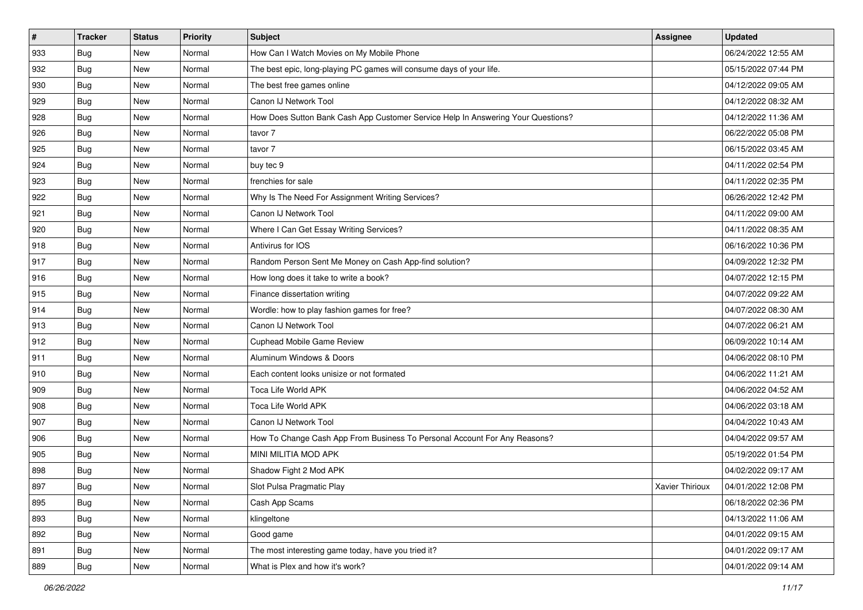| #   | <b>Tracker</b> | <b>Status</b> | <b>Priority</b> | Subject                                                                          | <b>Assignee</b> | <b>Updated</b>      |
|-----|----------------|---------------|-----------------|----------------------------------------------------------------------------------|-----------------|---------------------|
| 933 | <b>Bug</b>     | New           | Normal          | How Can I Watch Movies on My Mobile Phone                                        |                 | 06/24/2022 12:55 AM |
| 932 | <b>Bug</b>     | New           | Normal          | The best epic, long-playing PC games will consume days of your life.             |                 | 05/15/2022 07:44 PM |
| 930 | Bug            | New           | Normal          | The best free games online                                                       |                 | 04/12/2022 09:05 AM |
| 929 | <b>Bug</b>     | New           | Normal          | Canon IJ Network Tool                                                            |                 | 04/12/2022 08:32 AM |
| 928 | <b>Bug</b>     | <b>New</b>    | Normal          | How Does Sutton Bank Cash App Customer Service Help In Answering Your Questions? |                 | 04/12/2022 11:36 AM |
| 926 | <b>Bug</b>     | New           | Normal          | tavor 7                                                                          |                 | 06/22/2022 05:08 PM |
| 925 | Bug            | New           | Normal          | tavor 7                                                                          |                 | 06/15/2022 03:45 AM |
| 924 | <b>Bug</b>     | New           | Normal          | buy tec 9                                                                        |                 | 04/11/2022 02:54 PM |
| 923 | <b>Bug</b>     | New           | Normal          | frenchies for sale                                                               |                 | 04/11/2022 02:35 PM |
| 922 | Bug            | <b>New</b>    | Normal          | Why Is The Need For Assignment Writing Services?                                 |                 | 06/26/2022 12:42 PM |
| 921 | <b>Bug</b>     | New           | Normal          | Canon IJ Network Tool                                                            |                 | 04/11/2022 09:00 AM |
| 920 | <b>Bug</b>     | New           | Normal          | Where I Can Get Essay Writing Services?                                          |                 | 04/11/2022 08:35 AM |
| 918 | Bug            | <b>New</b>    | Normal          | Antivirus for IOS                                                                |                 | 06/16/2022 10:36 PM |
| 917 | <b>Bug</b>     | <b>New</b>    | Normal          | Random Person Sent Me Money on Cash App-find solution?                           |                 | 04/09/2022 12:32 PM |
| 916 | <b>Bug</b>     | <b>New</b>    | Normal          | How long does it take to write a book?                                           |                 | 04/07/2022 12:15 PM |
| 915 | Bug            | New           | Normal          | Finance dissertation writing                                                     |                 | 04/07/2022 09:22 AM |
| 914 | <b>Bug</b>     | New           | Normal          | Wordle: how to play fashion games for free?                                      |                 | 04/07/2022 08:30 AM |
| 913 | Bug            | <b>New</b>    | Normal          | Canon IJ Network Tool                                                            |                 | 04/07/2022 06:21 AM |
| 912 | <b>Bug</b>     | New           | Normal          | <b>Cuphead Mobile Game Review</b>                                                |                 | 06/09/2022 10:14 AM |
| 911 | <b>Bug</b>     | New           | Normal          | Aluminum Windows & Doors                                                         |                 | 04/06/2022 08:10 PM |
| 910 | <b>Bug</b>     | New           | Normal          | Each content looks unisize or not formated                                       |                 | 04/06/2022 11:21 AM |
| 909 | <b>Bug</b>     | New           | Normal          | Toca Life World APK                                                              |                 | 04/06/2022 04:52 AM |
| 908 | Bug            | <b>New</b>    | Normal          | Toca Life World APK                                                              |                 | 04/06/2022 03:18 AM |
| 907 | <b>Bug</b>     | New           | Normal          | Canon IJ Network Tool                                                            |                 | 04/04/2022 10:43 AM |
| 906 | Bug            | New           | Normal          | How To Change Cash App From Business To Personal Account For Any Reasons?        |                 | 04/04/2022 09:57 AM |
| 905 | Bug            | New           | Normal          | MINI MILITIA MOD APK                                                             |                 | 05/19/2022 01:54 PM |
| 898 | <b>Bug</b>     | New           | Normal          | Shadow Fight 2 Mod APK                                                           |                 | 04/02/2022 09:17 AM |
| 897 | <b>Bug</b>     | New           | Normal          | Slot Pulsa Pragmatic Play                                                        | Xavier Thirioux | 04/01/2022 12:08 PM |
| 895 | Bug            | New           | Normal          | Cash App Scams                                                                   |                 | 06/18/2022 02:36 PM |
| 893 | <b>Bug</b>     | New           | Normal          | klingeltone                                                                      |                 | 04/13/2022 11:06 AM |
| 892 | Bug            | New           | Normal          | Good game                                                                        |                 | 04/01/2022 09:15 AM |
| 891 | <b>Bug</b>     | New           | Normal          | The most interesting game today, have you tried it?                              |                 | 04/01/2022 09:17 AM |
| 889 | <b>Bug</b>     | New           | Normal          | What is Plex and how it's work?                                                  |                 | 04/01/2022 09:14 AM |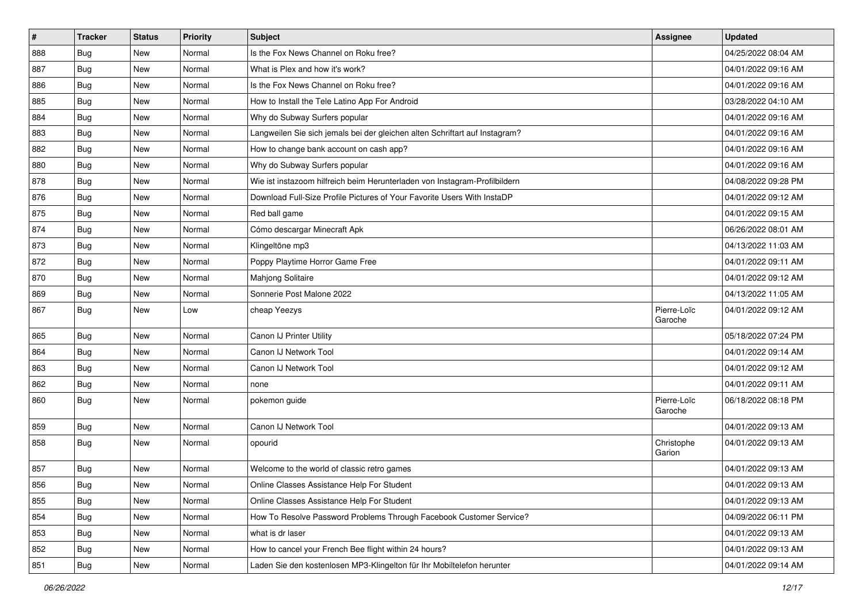| $\vert$ # | <b>Tracker</b> | <b>Status</b> | <b>Priority</b> | <b>Subject</b>                                                              | Assignee               | <b>Updated</b>      |
|-----------|----------------|---------------|-----------------|-----------------------------------------------------------------------------|------------------------|---------------------|
| 888       | <b>Bug</b>     | New           | Normal          | Is the Fox News Channel on Roku free?                                       |                        | 04/25/2022 08:04 AM |
| 887       | <b>Bug</b>     | <b>New</b>    | Normal          | What is Plex and how it's work?                                             |                        | 04/01/2022 09:16 AM |
| 886       | Bug            | New           | Normal          | Is the Fox News Channel on Roku free?                                       |                        | 04/01/2022 09:16 AM |
| 885       | <b>Bug</b>     | New           | Normal          | How to Install the Tele Latino App For Android                              |                        | 03/28/2022 04:10 AM |
| 884       | <b>Bug</b>     | <b>New</b>    | Normal          | Why do Subway Surfers popular                                               |                        | 04/01/2022 09:16 AM |
| 883       | Bug            | New           | Normal          | Langweilen Sie sich jemals bei der gleichen alten Schriftart auf Instagram? |                        | 04/01/2022 09:16 AM |
| 882       | Bug            | New           | Normal          | How to change bank account on cash app?                                     |                        | 04/01/2022 09:16 AM |
| 880       | <b>Bug</b>     | New           | Normal          | Why do Subway Surfers popular                                               |                        | 04/01/2022 09:16 AM |
| 878       | <b>Bug</b>     | <b>New</b>    | Normal          | Wie ist instazoom hilfreich beim Herunterladen von Instagram-Profilbildern  |                        | 04/08/2022 09:28 PM |
| 876       | Bug            | <b>New</b>    | Normal          | Download Full-Size Profile Pictures of Your Favorite Users With InstaDP     |                        | 04/01/2022 09:12 AM |
| 875       | <b>Bug</b>     | New           | Normal          | Red ball game                                                               |                        | 04/01/2022 09:15 AM |
| 874       | <b>Bug</b>     | New           | Normal          | Cómo descargar Minecraft Apk                                                |                        | 06/26/2022 08:01 AM |
| 873       | Bug            | <b>New</b>    | Normal          | Klingeltöne mp3                                                             |                        | 04/13/2022 11:03 AM |
| 872       | <b>Bug</b>     | <b>New</b>    | Normal          | Poppy Playtime Horror Game Free                                             |                        | 04/01/2022 09:11 AM |
| 870       | <b>Bug</b>     | <b>New</b>    | Normal          | Mahjong Solitaire                                                           |                        | 04/01/2022 09:12 AM |
| 869       | Bug            | New           | Normal          | Sonnerie Post Malone 2022                                                   |                        | 04/13/2022 11:05 AM |
| 867       | <b>Bug</b>     | New           | Low             | cheap Yeezys                                                                | Pierre-Loïc<br>Garoche | 04/01/2022 09:12 AM |
| 865       | <b>Bug</b>     | <b>New</b>    | Normal          | Canon IJ Printer Utility                                                    |                        | 05/18/2022 07:24 PM |
| 864       | Bug            | New           | Normal          | Canon IJ Network Tool                                                       |                        | 04/01/2022 09:14 AM |
| 863       | Bug            | New           | Normal          | Canon IJ Network Tool                                                       |                        | 04/01/2022 09:12 AM |
| 862       | <b>Bug</b>     | <b>New</b>    | Normal          | none                                                                        |                        | 04/01/2022 09:11 AM |
| 860       | <b>Bug</b>     | New           | Normal          | pokemon guide                                                               | Pierre-Loïc<br>Garoche | 06/18/2022 08:18 PM |
| 859       | <b>Bug</b>     | New           | Normal          | Canon IJ Network Tool                                                       |                        | 04/01/2022 09:13 AM |
| 858       | <b>Bug</b>     | <b>New</b>    | Normal          | opourid                                                                     | Christophe<br>Garion   | 04/01/2022 09:13 AM |
| 857       | <b>Bug</b>     | New           | Normal          | Welcome to the world of classic retro games                                 |                        | 04/01/2022 09:13 AM |
| 856       | Bug            | New           | Normal          | Online Classes Assistance Help For Student                                  |                        | 04/01/2022 09:13 AM |
| 855       | <b>Bug</b>     | New           | Normal          | Online Classes Assistance Help For Student                                  |                        | 04/01/2022 09:13 AM |
| 854       | <b>Bug</b>     | <b>New</b>    | Normal          | How To Resolve Password Problems Through Facebook Customer Service?         |                        | 04/09/2022 06:11 PM |
| 853       | <b>Bug</b>     | New           | Normal          | what is dr laser                                                            |                        | 04/01/2022 09:13 AM |
| 852       | <b>Bug</b>     | New           | Normal          | How to cancel your French Bee flight within 24 hours?                       |                        | 04/01/2022 09:13 AM |
| 851       | <b>Bug</b>     | New           | Normal          | Laden Sie den kostenlosen MP3-Klingelton für Ihr Mobiltelefon herunter      |                        | 04/01/2022 09:14 AM |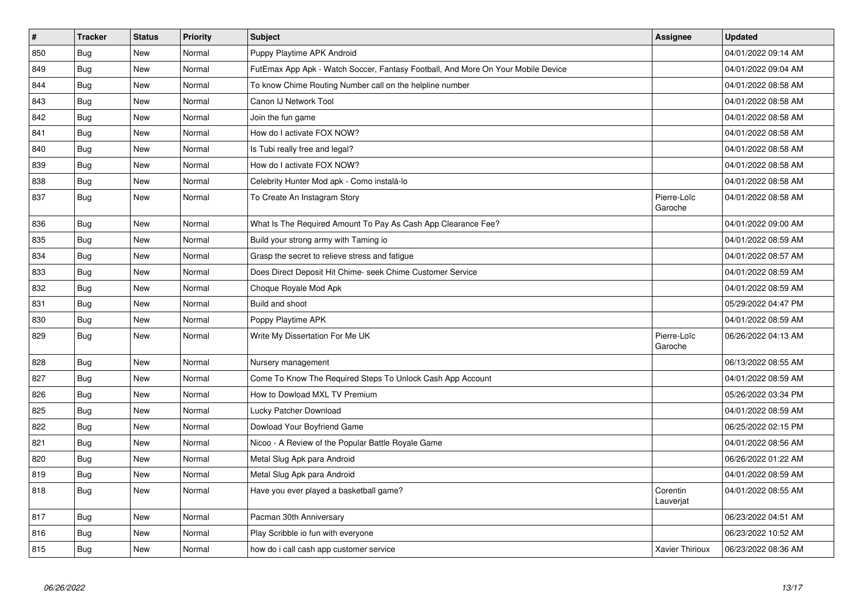| $\vert$ # | <b>Tracker</b> | <b>Status</b> | <b>Priority</b> | <b>Subject</b>                                                                   | Assignee               | <b>Updated</b>      |
|-----------|----------------|---------------|-----------------|----------------------------------------------------------------------------------|------------------------|---------------------|
| 850       | Bug            | <b>New</b>    | Normal          | Puppy Playtime APK Android                                                       |                        | 04/01/2022 09:14 AM |
| 849       | <b>Bug</b>     | <b>New</b>    | Normal          | FutEmax App Apk - Watch Soccer, Fantasy Football, And More On Your Mobile Device |                        | 04/01/2022 09:04 AM |
| 844       | Bug            | New           | Normal          | To know Chime Routing Number call on the helpline number                         |                        | 04/01/2022 08:58 AM |
| 843       | <b>Bug</b>     | New           | Normal          | Canon IJ Network Tool                                                            |                        | 04/01/2022 08:58 AM |
| 842       | Bug            | New           | Normal          | Join the fun game                                                                |                        | 04/01/2022 08:58 AM |
| 841       | Bug            | New           | Normal          | How do I activate FOX NOW?                                                       |                        | 04/01/2022 08:58 AM |
| 840       | Bug            | New           | Normal          | Is Tubi really free and legal?                                                   |                        | 04/01/2022 08:58 AM |
| 839       | Bug            | <b>New</b>    | Normal          | How do I activate FOX NOW?                                                       |                        | 04/01/2022 08:58 AM |
| 838       | Bug            | New           | Normal          | Celebrity Hunter Mod apk - Como instalá-lo                                       |                        | 04/01/2022 08:58 AM |
| 837       | Bug            | New           | Normal          | To Create An Instagram Story                                                     | Pierre-Loïc<br>Garoche | 04/01/2022 08:58 AM |
| 836       | Bug            | New           | Normal          | What Is The Required Amount To Pay As Cash App Clearance Fee?                    |                        | 04/01/2022 09:00 AM |
| 835       | <b>Bug</b>     | New           | Normal          | Build your strong army with Taming io                                            |                        | 04/01/2022 08:59 AM |
| 834       | <b>Bug</b>     | New           | Normal          | Grasp the secret to relieve stress and fatigue                                   |                        | 04/01/2022 08:57 AM |
| 833       | <b>Bug</b>     | <b>New</b>    | Normal          | Does Direct Deposit Hit Chime- seek Chime Customer Service                       |                        | 04/01/2022 08:59 AM |
| 832       | Bug            | New           | Normal          | Choque Royale Mod Apk                                                            |                        | 04/01/2022 08:59 AM |
| 831       | <b>Bug</b>     | <b>New</b>    | Normal          | Build and shoot                                                                  |                        | 05/29/2022 04:47 PM |
| 830       | Bug            | New           | Normal          | Poppy Playtime APK                                                               |                        | 04/01/2022 08:59 AM |
| 829       | <b>Bug</b>     | <b>New</b>    | Normal          | Write My Dissertation For Me UK                                                  | Pierre-Loïc<br>Garoche | 06/26/2022 04:13 AM |
| 828       | <b>Bug</b>     | <b>New</b>    | Normal          | Nursery management                                                               |                        | 06/13/2022 08:55 AM |
| 827       | Bug            | <b>New</b>    | Normal          | Come To Know The Required Steps To Unlock Cash App Account                       |                        | 04/01/2022 08:59 AM |
| 826       | <b>Bug</b>     | <b>New</b>    | Normal          | How to Dowload MXL TV Premium                                                    |                        | 05/26/2022 03:34 PM |
| 825       | Bug            | New           | Normal          | Lucky Patcher Download                                                           |                        | 04/01/2022 08:59 AM |
| 822       | <b>Bug</b>     | New           | Normal          | Dowload Your Boyfriend Game                                                      |                        | 06/25/2022 02:15 PM |
| 821       | Bug            | New           | Normal          | Nicoo - A Review of the Popular Battle Royale Game                               |                        | 04/01/2022 08:56 AM |
| 820       | <b>Bug</b>     | New           | Normal          | Metal Slug Apk para Android                                                      |                        | 06/26/2022 01:22 AM |
| 819       | Bug            | New           | Normal          | Metal Slug Apk para Android                                                      |                        | 04/01/2022 08:59 AM |
| 818       | Bug            | New           | Normal          | Have you ever played a basketball game?                                          | Corentin<br>Lauverjat  | 04/01/2022 08:55 AM |
| 817       | Bug            | New           | Normal          | Pacman 30th Anniversary                                                          |                        | 06/23/2022 04:51 AM |
| 816       | Bug            | New           | Normal          | Play Scribble io fun with everyone                                               |                        | 06/23/2022 10:52 AM |
| 815       | <b>Bug</b>     | New           | Normal          | how do i call cash app customer service                                          | <b>Xavier Thirioux</b> | 06/23/2022 08:36 AM |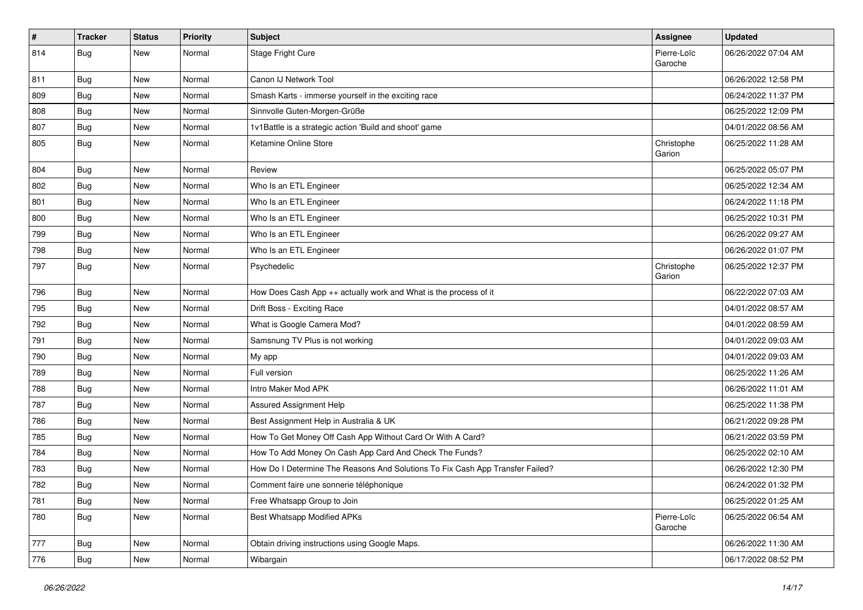| $\pmb{\#}$ | <b>Tracker</b>   | <b>Status</b> | <b>Priority</b> | Subject                                                                       | <b>Assignee</b>        | <b>Updated</b>      |
|------------|------------------|---------------|-----------------|-------------------------------------------------------------------------------|------------------------|---------------------|
| 814        | <b>Bug</b>       | New           | Normal          | Stage Fright Cure                                                             | Pierre-Loïc<br>Garoche | 06/26/2022 07:04 AM |
| 811        | <b>Bug</b>       | New           | Normal          | Canon IJ Network Tool                                                         |                        | 06/26/2022 12:58 PM |
| 809        | Bug              | New           | Normal          | Smash Karts - immerse yourself in the exciting race                           |                        | 06/24/2022 11:37 PM |
| 808        | Bug              | <b>New</b>    | Normal          | Sinnvolle Guten-Morgen-Grüße                                                  |                        | 06/25/2022 12:09 PM |
| 807        | Bug              | New           | Normal          | 1v1Battle is a strategic action 'Build and shoot' game                        |                        | 04/01/2022 08:56 AM |
| 805        | Bug              | New           | Normal          | Ketamine Online Store                                                         | Christophe<br>Garion   | 06/25/2022 11:28 AM |
| 804        | Bug              | New           | Normal          | Review                                                                        |                        | 06/25/2022 05:07 PM |
| 802        | Bug              | New           | Normal          | Who Is an ETL Engineer                                                        |                        | 06/25/2022 12:34 AM |
| 801        | Bug              | New           | Normal          | Who Is an ETL Engineer                                                        |                        | 06/24/2022 11:18 PM |
| 800        | <b>Bug</b>       | New           | Normal          | Who Is an ETL Engineer                                                        |                        | 06/25/2022 10:31 PM |
| 799        | Bug              | New           | Normal          | Who Is an ETL Engineer                                                        |                        | 06/26/2022 09:27 AM |
| 798        | Bug              | New           | Normal          | Who Is an ETL Engineer                                                        |                        | 06/26/2022 01:07 PM |
| 797        | <b>Bug</b>       | New           | Normal          | Psychedelic                                                                   | Christophe<br>Garion   | 06/25/2022 12:37 PM |
| 796        | Bug              | New           | Normal          | How Does Cash App ++ actually work and What is the process of it              |                        | 06/22/2022 07:03 AM |
| 795        | Bug              | <b>New</b>    | Normal          | Drift Boss - Exciting Race                                                    |                        | 04/01/2022 08:57 AM |
| 792        | <b>Bug</b>       | New           | Normal          | What is Google Camera Mod?                                                    |                        | 04/01/2022 08:59 AM |
| 791        | Bug              | New           | Normal          | Samsnung TV Plus is not working                                               |                        | 04/01/2022 09:03 AM |
| 790        | Bug              | New           | Normal          | My app                                                                        |                        | 04/01/2022 09:03 AM |
| 789        | <b>Bug</b>       | New           | Normal          | Full version                                                                  |                        | 06/25/2022 11:26 AM |
| 788        | <b>Bug</b>       | New           | Normal          | Intro Maker Mod APK                                                           |                        | 06/26/2022 11:01 AM |
| 787        | <b>Bug</b>       | New           | Normal          | Assured Assignment Help                                                       |                        | 06/25/2022 11:38 PM |
| 786        | <b>Bug</b>       | New           | Normal          | Best Assignment Help in Australia & UK                                        |                        | 06/21/2022 09:28 PM |
| 785        | <b>Bug</b>       | <b>New</b>    | Normal          | How To Get Money Off Cash App Without Card Or With A Card?                    |                        | 06/21/2022 03:59 PM |
| 784        | Bug              | New           | Normal          | How To Add Money On Cash App Card And Check The Funds?                        |                        | 06/25/2022 02:10 AM |
| 783        | <b>Bug</b>       | New           | Normal          | How Do I Determine The Reasons And Solutions To Fix Cash App Transfer Failed? |                        | 06/26/2022 12:30 PM |
| 782        | <sub>I</sub> Bug | New           | Normal          | Comment faire une sonnerie téléphonique                                       |                        | 06/24/2022 01:32 PM |
| 781        | <b>Bug</b>       | New           | Normal          | Free Whatsapp Group to Join                                                   |                        | 06/25/2022 01:25 AM |
| 780        | <b>Bug</b>       | New           | Normal          | <b>Best Whatsapp Modified APKs</b>                                            | Pierre-Loïc<br>Garoche | 06/25/2022 06:54 AM |
| 777        | <b>Bug</b>       | New           | Normal          | Obtain driving instructions using Google Maps.                                |                        | 06/26/2022 11:30 AM |
| 776        | <b>Bug</b>       | New           | Normal          | Wibargain                                                                     |                        | 06/17/2022 08:52 PM |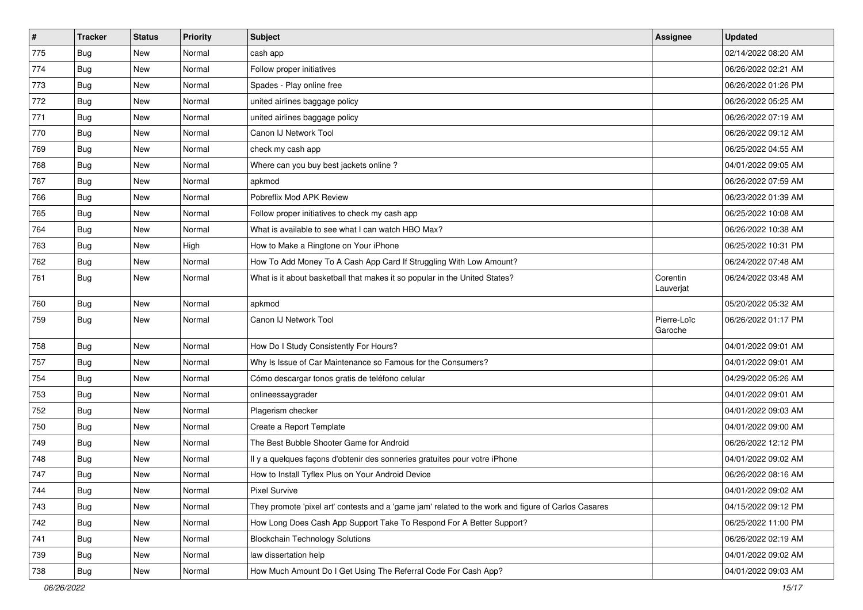| $\pmb{\sharp}$ | <b>Tracker</b> | <b>Status</b> | <b>Priority</b> | <b>Subject</b>                                                                                      | <b>Assignee</b>        | <b>Updated</b>      |
|----------------|----------------|---------------|-----------------|-----------------------------------------------------------------------------------------------------|------------------------|---------------------|
| 775            | <b>Bug</b>     | New           | Normal          | cash app                                                                                            |                        | 02/14/2022 08:20 AM |
| 774            | <b>Bug</b>     | New           | Normal          | Follow proper initiatives                                                                           |                        | 06/26/2022 02:21 AM |
| 773            | <b>Bug</b>     | New           | Normal          | Spades - Play online free                                                                           |                        | 06/26/2022 01:26 PM |
| 772            | <b>Bug</b>     | New           | Normal          | united airlines baggage policy                                                                      |                        | 06/26/2022 05:25 AM |
| 771            | <b>Bug</b>     | New           | Normal          | united airlines baggage policy                                                                      |                        | 06/26/2022 07:19 AM |
| 770            | Bug            | New           | Normal          | Canon IJ Network Tool                                                                               |                        | 06/26/2022 09:12 AM |
| 769            | Bug            | New           | Normal          | check my cash app                                                                                   |                        | 06/25/2022 04:55 AM |
| 768            | Bug            | New           | Normal          | Where can you buy best jackets online?                                                              |                        | 04/01/2022 09:05 AM |
| 767            | Bug            | New           | Normal          | apkmod                                                                                              |                        | 06/26/2022 07:59 AM |
| 766            | Bug            | New           | Normal          | Pobreflix Mod APK Review                                                                            |                        | 06/23/2022 01:39 AM |
| 765            | <b>Bug</b>     | New           | Normal          | Follow proper initiatives to check my cash app                                                      |                        | 06/25/2022 10:08 AM |
| 764            | Bug            | New           | Normal          | What is available to see what I can watch HBO Max?                                                  |                        | 06/26/2022 10:38 AM |
| 763            | Bug            | New           | High            | How to Make a Ringtone on Your iPhone                                                               |                        | 06/25/2022 10:31 PM |
| 762            | <b>Bug</b>     | New           | Normal          | How To Add Money To A Cash App Card If Struggling With Low Amount?                                  |                        | 06/24/2022 07:48 AM |
| 761            | <b>Bug</b>     | New           | Normal          | What is it about basketball that makes it so popular in the United States?                          | Corentin<br>Lauverjat  | 06/24/2022 03:48 AM |
| 760            | Bug            | New           | Normal          | apkmod                                                                                              |                        | 05/20/2022 05:32 AM |
| 759            | <b>Bug</b>     | New           | Normal          | Canon IJ Network Tool                                                                               | Pierre-Loïc<br>Garoche | 06/26/2022 01:17 PM |
| 758            | Bug            | New           | Normal          | How Do I Study Consistently For Hours?                                                              |                        | 04/01/2022 09:01 AM |
| 757            | <b>Bug</b>     | New           | Normal          | Why Is Issue of Car Maintenance so Famous for the Consumers?                                        |                        | 04/01/2022 09:01 AM |
| 754            | <b>Bug</b>     | New           | Normal          | Cómo descargar tonos gratis de teléfono celular                                                     |                        | 04/29/2022 05:26 AM |
| 753            | <b>Bug</b>     | New           | Normal          | onlineessaygrader                                                                                   |                        | 04/01/2022 09:01 AM |
| 752            | <b>Bug</b>     | New           | Normal          | Plagerism checker                                                                                   |                        | 04/01/2022 09:03 AM |
| 750            | <b>Bug</b>     | New           | Normal          | Create a Report Template                                                                            |                        | 04/01/2022 09:00 AM |
| 749            | Bug            | New           | Normal          | The Best Bubble Shooter Game for Android                                                            |                        | 06/26/2022 12:12 PM |
| 748            | <b>Bug</b>     | New           | Normal          | Il y a quelques façons d'obtenir des sonneries gratuites pour votre iPhone                          |                        | 04/01/2022 09:02 AM |
| 747            | <b>Bug</b>     | New           | Normal          | How to Install Tyflex Plus on Your Android Device                                                   |                        | 06/26/2022 08:16 AM |
| 744            | Bug            | New           | Normal          | Pixel Survive                                                                                       |                        | 04/01/2022 09:02 AM |
| 743            | <b>Bug</b>     | New           | Normal          | They promote 'pixel art' contests and a 'game jam' related to the work and figure of Carlos Casares |                        | 04/15/2022 09:12 PM |
| 742            | <b>Bug</b>     | New           | Normal          | How Long Does Cash App Support Take To Respond For A Better Support?                                |                        | 06/25/2022 11:00 PM |
| 741            | <b>Bug</b>     | New           | Normal          | <b>Blockchain Technology Solutions</b>                                                              |                        | 06/26/2022 02:19 AM |
| 739            | Bug            | New           | Normal          | law dissertation help                                                                               |                        | 04/01/2022 09:02 AM |
| 738            | Bug            | New           | Normal          | How Much Amount Do I Get Using The Referral Code For Cash App?                                      |                        | 04/01/2022 09:03 AM |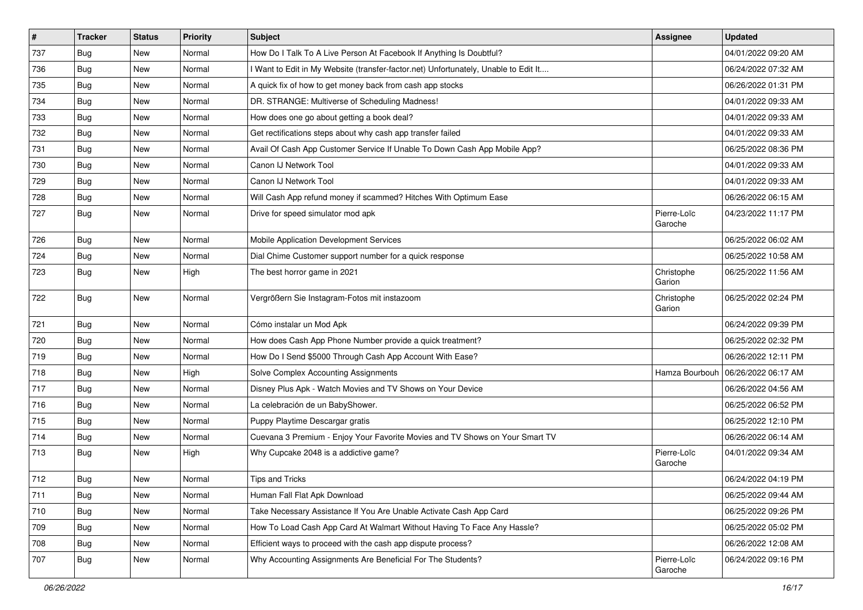| #   | <b>Tracker</b> | <b>Status</b> | <b>Priority</b> | Subject                                                                             | <b>Assignee</b>        | <b>Updated</b>      |
|-----|----------------|---------------|-----------------|-------------------------------------------------------------------------------------|------------------------|---------------------|
| 737 | <b>Bug</b>     | New           | Normal          | How Do I Talk To A Live Person At Facebook If Anything Is Doubtful?                 |                        | 04/01/2022 09:20 AM |
| 736 | Bug            | New           | Normal          | I Want to Edit in My Website (transfer-factor.net) Unfortunately, Unable to Edit It |                        | 06/24/2022 07:32 AM |
| 735 | Bug            | New           | Normal          | A quick fix of how to get money back from cash app stocks                           |                        | 06/26/2022 01:31 PM |
| 734 | Bug            | <b>New</b>    | Normal          | DR. STRANGE: Multiverse of Scheduling Madness!                                      |                        | 04/01/2022 09:33 AM |
| 733 | Bug            | <b>New</b>    | Normal          | How does one go about getting a book deal?                                          |                        | 04/01/2022 09:33 AM |
| 732 | <b>Bug</b>     | New           | Normal          | Get rectifications steps about why cash app transfer failed                         |                        | 04/01/2022 09:33 AM |
| 731 | <b>Bug</b>     | New           | Normal          | Avail Of Cash App Customer Service If Unable To Down Cash App Mobile App?           |                        | 06/25/2022 08:36 PM |
| 730 | <b>Bug</b>     | <b>New</b>    | Normal          | Canon IJ Network Tool                                                               |                        | 04/01/2022 09:33 AM |
| 729 | Bug            | New           | Normal          | Canon IJ Network Tool                                                               |                        | 04/01/2022 09:33 AM |
| 728 | Bug            | <b>New</b>    | Normal          | Will Cash App refund money if scammed? Hitches With Optimum Ease                    |                        | 06/26/2022 06:15 AM |
| 727 | <b>Bug</b>     | New           | Normal          | Drive for speed simulator mod apk                                                   | Pierre-Loïc<br>Garoche | 04/23/2022 11:17 PM |
| 726 | Bug            | <b>New</b>    | Normal          | Mobile Application Development Services                                             |                        | 06/25/2022 06:02 AM |
| 724 | <b>Bug</b>     | New           | Normal          | Dial Chime Customer support number for a quick response                             |                        | 06/25/2022 10:58 AM |
| 723 | <b>Bug</b>     | New           | High            | The best horror game in 2021                                                        | Christophe<br>Garion   | 06/25/2022 11:56 AM |
| 722 | <b>Bug</b>     | <b>New</b>    | Normal          | Vergrößern Sie Instagram-Fotos mit instazoom                                        | Christophe<br>Garion   | 06/25/2022 02:24 PM |
| 721 | <b>Bug</b>     | New           | Normal          | Cómo instalar un Mod Apk                                                            |                        | 06/24/2022 09:39 PM |
| 720 | Bug            | New           | Normal          | How does Cash App Phone Number provide a quick treatment?                           |                        | 06/25/2022 02:32 PM |
| 719 | Bug            | <b>New</b>    | Normal          | How Do I Send \$5000 Through Cash App Account With Ease?                            |                        | 06/26/2022 12:11 PM |
| 718 | <b>Bug</b>     | New           | High            | Solve Complex Accounting Assignments                                                | Hamza Bourbouh         | 06/26/2022 06:17 AM |
| 717 | Bug            | New           | Normal          | Disney Plus Apk - Watch Movies and TV Shows on Your Device                          |                        | 06/26/2022 04:56 AM |
| 716 | Bug            | <b>New</b>    | Normal          | La celebración de un BabyShower.                                                    |                        | 06/25/2022 06:52 PM |
| 715 | <b>Bug</b>     | New           | Normal          | Puppy Playtime Descargar gratis                                                     |                        | 06/25/2022 12:10 PM |
| 714 | Bug            | <b>New</b>    | Normal          | Cuevana 3 Premium - Enjoy Your Favorite Movies and TV Shows on Your Smart TV        |                        | 06/26/2022 06:14 AM |
| 713 | <b>Bug</b>     | New           | High            | Why Cupcake 2048 is a addictive game?                                               | Pierre-Loïc<br>Garoche | 04/01/2022 09:34 AM |
| 712 | Bug            | <b>New</b>    | Normal          | Tips and Tricks                                                                     |                        | 06/24/2022 04:19 PM |
| 711 | Bug            | New           | Normal          | Human Fall Flat Apk Download                                                        |                        | 06/25/2022 09:44 AM |
| 710 | <b>Bug</b>     | New           | Normal          | Take Necessary Assistance If You Are Unable Activate Cash App Card                  |                        | 06/25/2022 09:26 PM |
| 709 | <b>Bug</b>     | New           | Normal          | How To Load Cash App Card At Walmart Without Having To Face Any Hassle?             |                        | 06/25/2022 05:02 PM |
| 708 | <b>Bug</b>     | New           | Normal          | Efficient ways to proceed with the cash app dispute process?                        |                        | 06/26/2022 12:08 AM |
| 707 | <b>Bug</b>     | New           | Normal          | Why Accounting Assignments Are Beneficial For The Students?                         | Pierre-Loïc<br>Garoche | 06/24/2022 09:16 PM |